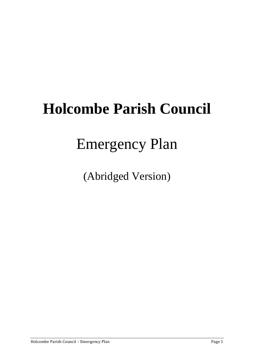# **Holcombe Parish Council**

## Emergency Plan

(Abridged Version)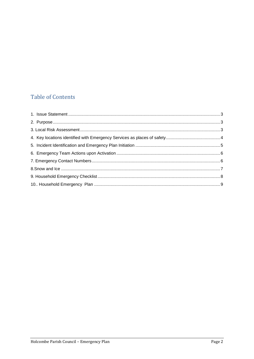## **Table of Contents**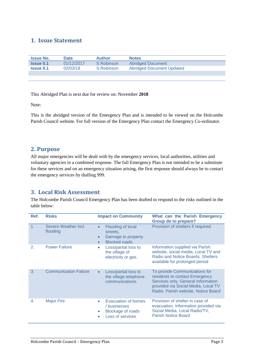### <span id="page-2-0"></span>**1. Issue Statement**

| <b>Issue No.</b> | <b>Date</b> | <b>Author</b> | <b>Notes</b>                     |
|------------------|-------------|---------------|----------------------------------|
| <b>Issue 0.1</b> | 01/12/2017  | S Robinson    | <b>Abridged Document</b>         |
| <b>Issue 0.1</b> | 02/03/18    | S.Robinson    | <b>Abridged Document Updated</b> |
|                  |             |               |                                  |

This Abridged Plan is next due for review on: November **2018**

Note:

<span id="page-2-1"></span>This is the abridged version of the Emergency Plan and is intended to be viewed on the Holcombe Parish Council website. For full version of the Emergency Plan contact the Emergency Co-ordinator.

#### **2. Purpose**

All major emergencies will be dealt with by the emergency services, local authorities, utilities and voluntary agencies in a combined response. The full Emergency Plan is not intended to be a substitute for these services and on an emergency situation arising, the first response should always be to contact the emergency services by dialling 999.

### **3. Local Risk Assessment**

The Holcombe Parish Council Emergency Plan has been drafted to respond to the risks outlined in the table below:

| Ref. | <b>Risks</b>                     | <b>Impact on Community</b>                                                                                          | What can the Parish Emergency<br><b>Group do to prepare?</b>                                                                                                                        |
|------|----------------------------------|---------------------------------------------------------------------------------------------------------------------|-------------------------------------------------------------------------------------------------------------------------------------------------------------------------------------|
| 1.   | Severe Weather incl.<br>flooding | Flooding of local<br>$\bullet$<br>streets,<br>Damage to property<br>$\bullet$<br><b>Blocked roads.</b><br>$\bullet$ | Provision of shelters if required.                                                                                                                                                  |
| 2.   | <b>Power Failure</b>             | Loss/partial loss to<br>$\bullet$<br>the village of<br>electricity or gas.                                          | Information supplied via Parish<br>website, social media, Local TV and<br>Radio and Notice Boards. Shelters<br>available for prolonged period                                       |
| 3.   | <b>Communication Failure</b>     | Loss/partial loss to<br>$\bullet$<br>the village telephone<br>communications.                                       | To provide Communications for<br>residents to contact Emergency<br>Services only. General Information<br>provided via Social Media, Local TV<br>Radio. Parish website, Notice Board |
| 4.   | <b>Major Fire</b>                | Evacuation of homes<br>۰<br>/ businesses<br><b>Blockage of roads</b><br>Loss of services                            | Provision of shelter in case of<br>evacuation. Information provided via<br>Social Media, Local Radio/TV,<br><b>Parish Notice Board</b>                                              |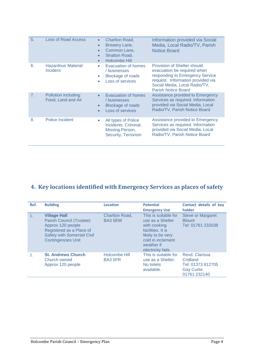| 5. | <b>Loss of Road Access</b>                 | Charlton Road,<br>$\bullet$<br>Brewery Lane,<br>$\bullet$<br>Common Lane,<br>$\bullet$<br><b>Stratton Road,</b><br>$\bullet$<br><b>Holcombe Hill</b><br>$\bullet$ | Information provided via Social<br>Media, Local Radio/TV, Parish<br><b>Notice Board</b>                                                                                                           |
|----|--------------------------------------------|-------------------------------------------------------------------------------------------------------------------------------------------------------------------|---------------------------------------------------------------------------------------------------------------------------------------------------------------------------------------------------|
| 6. | <b>Hazardous Material</b><br>Incident      | Evacuation of homes<br>/ businesses<br><b>Blockage of roads</b><br>Loss of services                                                                               | Provision of Shelter should<br>evacuation be required when<br>responding to Emergency Service<br>request. Information provided via<br>Social Media, Local Radio/TV,<br><b>Parish Notice Board</b> |
| 7. | Pollution including:<br>Food, Land and Air | <b>Evacuation of homes</b><br>/ businesses<br><b>Blockage of roads</b><br>Loss of services                                                                        | Assistance provided to Emergency<br>Services as required. Information<br>provided via Social Media, Local<br>Radio/TV, Parish Notice Board                                                        |
| 8. | Police Incident                            | All types of Police<br>۰<br>Incidents. Criminal,<br>Missing Person,<br>Security, Terrorism                                                                        | Assistance provided to Emergency<br>Services as required. Information<br>provided via Social Media, Local<br>Radio/TV, Parish Notice Board                                                        |

## <span id="page-3-0"></span>**4. Key locations identified with Emergency Services as places of safety**

| Ref.                  | <b>Building</b>                                                                                                                                                    | Location                         | <b>Potential</b><br><b>Emergency Use</b>                                                                                                                    | Contact details of key<br>holder                                                     |
|-----------------------|--------------------------------------------------------------------------------------------------------------------------------------------------------------------|----------------------------------|-------------------------------------------------------------------------------------------------------------------------------------------------------------|--------------------------------------------------------------------------------------|
| 1.                    | <b>Village Hall</b><br>Parish Council (Trustee)<br>Approx 120 people<br>Registered as a Place of<br><b>Safety with Somerset Civil</b><br><b>Contingencies Unit</b> | <b>Charlton Road,</b><br>BA3 5EW | This is suitable for<br>use as a Shelter<br>with cooking<br>facilities. It is<br>likely to be very<br>cold in inclement<br>weather if<br>electricity fails. | <b>Steve or Margaret</b><br><b>Blount</b><br>Tel: 01761 232038                       |
| $\mathcal{D}_{\cdot}$ | <b>St. Andrews Church</b><br>Church owned<br>Approx 120 people                                                                                                     | Holcombe Hill<br><b>BA3 5FR</b>  | This is suitable for<br>use as a Shelter.<br>No toilets<br>available.                                                                                       | Revd. Clarissa<br>Cridland<br>Tel: 01373 812705<br><b>Gay Curtis</b><br>01761 232140 |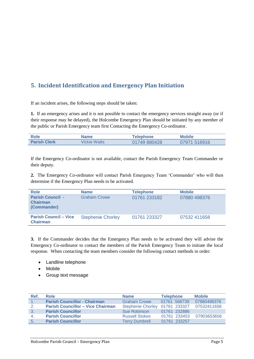## **5. Incident Identification and Emergency Plan Initiation**

If an incident arises, the following steps should be taken:

**1.** If an emergency arises and it is not possible to contact the emergency services straight away (or if their response may be delayed), the Holcombe Emergency Plan should be initiated by any member of the public or Parish Emergency team first Contacting the Emergency Co-ordinator.

| Role                | Name         | Telephone    | <b>Mobile</b> |
|---------------------|--------------|--------------|---------------|
| <b>Parish Clerk</b> | Vickie Watts | 01749 880428 | 07971 516916  |

If the Emergency Co-ordinator is not available, contact the Parish Emergency Team Commander or their deputy.

**2.** The Emergency Co-ordinator will contact Parish Emergency Team 'Commander' who will then determine if the Emergency Plan needs to be activated.

| <b>Role</b>                                               | <b>Name</b>              | <b>Telephone</b> | <b>Mobile</b> |
|-----------------------------------------------------------|--------------------------|------------------|---------------|
| <b>Parish Council -</b><br><b>Chairman</b><br>(Commander) | <b>Graham Crowe</b>      | 01761 233182     | 07880 498376  |
| <b>Parish Council – Vice</b><br><b>Chairman</b>           | <b>Stephenie Chorley</b> | 01761 233327     | 07532 411658  |

**3.** If the Commander decides that the Emergency Plan needs to be activated they will advise the Emergency Co-ordinator to contact the members of the Parish Emergency Team to initiate the local response. When contacting the team members consider the following contact methods in order:

- Landline telephone
- Mobile
- Group text message

| Ref. | Role                                     | <b>Name</b>              | <b>Telephone</b> | <b>Mobile</b> |
|------|------------------------------------------|--------------------------|------------------|---------------|
|      | <b>Parish Councillor - Chairman</b>      | <b>Graham Crowe</b>      | 01761 568739     | 07880498376   |
| 2.   | <b>Parish Councillor - Vice Chairman</b> | <b>Stephenie Chorley</b> | 01761 233327     | 07532411658   |
| 3.   | <b>Parish Councillor</b>                 | Sue Robinson             | 01761 232886     |               |
| 4.   | <b>Parish Councillor</b>                 | <b>Russell Stokes</b>    | 01761 233453     | 07903653656   |
| 5.   | <b>Parish Councillor</b>                 | <b>Terry Dumbrell</b>    | 01761 233257     |               |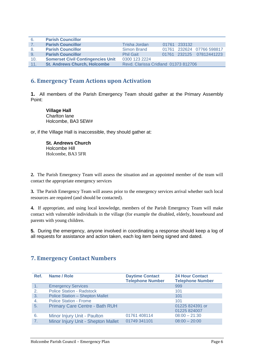| 6.  | <b>Parish Councillor</b>                 |                                      |              |                           |
|-----|------------------------------------------|--------------------------------------|--------------|---------------------------|
| 7.  | <b>Parish Councillor</b>                 | Trisha Jordan                        | 01761 233132 |                           |
| 8.  | <b>Parish Councillor</b>                 | Simon Brand                          |              | 01761 232624 07766 598817 |
| -9. | <b>Parish Councillor</b>                 | <b>Phil Gait</b>                     |              | 01761 232125 07812441223  |
| 10. | <b>Somerset Civil Contingencies Unit</b> | 0300 123 2224                        |              |                           |
| 11. | <b>St. Andrews Church, Holcombe</b>      | Revd. Clarissa Cridland 01373 812706 |              |                           |

#### **6. Emergency Team Actions upon Activation**

**1.** All members of the Parish Emergency Team should gather at the Primary Assembly Point:

**Village Hall**  Charlton lane Holcombe, BA3 5EW#

or, if the Village Hall is inaccessible, they should gather at:

**St. Andrews Church**  Holcombe Hill Holcombe, BA3 5FR

**2.** The Parish Emergency Team will assess the situation and an appointed member of the team will contact the appropriate emergency services

**3.** The Parish Emergency Team will assess prior to the emergency services arrival whether such local resources are required (and should be contacted).

**4.** If appropriate, and using local knowledge, members of the Parish Emergency Team will make contact with vulnerable individuals in the village (for example the disabled, elderly, housebound and parents with young children.

**5.** During the emergency, anyone involved in coordinating a response should keep a log of all requests for assistance and action taken, each log item being signed and dated.

#### **7. Emergency Contact Numbers**

| Ref.           | Name / Role                            | <b>Daytime Contact</b><br><b>Telephone Number</b> | <b>24 Hour Contact</b><br><b>Telephone Number</b> |
|----------------|----------------------------------------|---------------------------------------------------|---------------------------------------------------|
|                | <b>Emergency Services</b>              |                                                   | 999                                               |
| 2.             | <b>Police Station - Radstock</b>       |                                                   | 101                                               |
| 3.             | <b>Police Station - Shepton Mallet</b> |                                                   | 101                                               |
| 4.             | <b>Police Station - Frome</b>          |                                                   | 101                                               |
| 5.             | <b>Primary Care Centre - Bath RUH</b>  |                                                   | 01225 824391 or<br>01225 824007                   |
| 6.             | Minor Injury Unit - Paulton            | 01761 408114                                      | $08:00 - 21:30$                                   |
| 7 <sub>1</sub> | Minor Injury Unit - Shepton Mallet     | 01749 341101                                      | $08:00 - 20:00$                                   |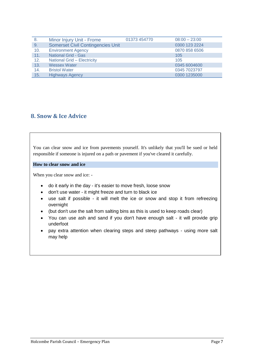| -8. | Minor Injury Unit - Frome                | 01373 454770 | $08:00 - 23:00$ |
|-----|------------------------------------------|--------------|-----------------|
| 9.  | <b>Somerset Civil Contingencies Unit</b> |              | 0300 123 2224   |
| 10. | <b>Environment Agency</b>                |              | 0870 858 6506   |
| 11. | <b>National Grid - Gas</b>               |              | 105             |
| 12. | National Grid - Electricity              |              | 105             |
| 13. | <b>Wessex Water</b>                      |              | 0345 6004600    |
| 14. | <b>Bristol Water</b>                     |              | 0345 7023797    |
| 15. | <b>Highways Agency</b>                   |              | 0300 1235000    |

#### **8. Snow & Ice Advice**

You can clear snow and ice from pavements yourself. It's unlikely that you'll be sued or held responsible if someone is injured on a path or pavement if you've cleared it carefully.

**How to clear snow and ice** 

When you clear snow and ice: -

- do it early in the day it's easier to move fresh, loose snow
- don't use water it might freeze and turn to black ice
- use salt if possible it will melt the ice or snow and stop it from refreezing overnight
- (but don't use the salt from salting bins as this is used to keep roads clear)
- You can use ash and sand if you don't have enough salt it will provide grip underfoot
- pay extra attention when clearing steps and steep pathways using more salt may help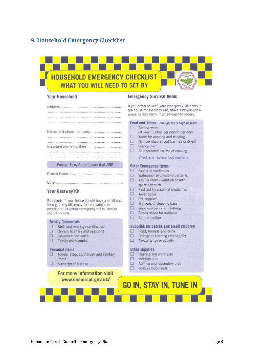## **9. Household Emergency Checklist**